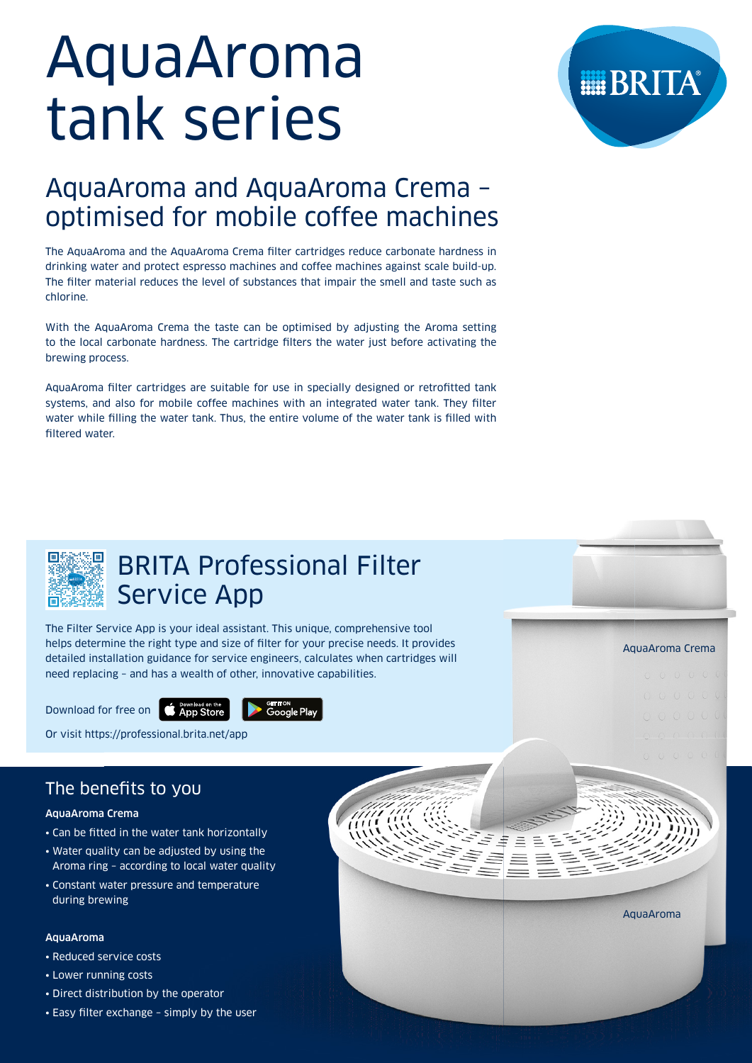# AquaAroma tank series

## AquaAroma and AquaAroma Crema – optimised for mobile coffee machines

The AquaAroma and the AquaAroma Crema filter cartridges reduce carbonate hardness in drinking water and protect espresso machines and coffee machines against scale build-up. The filter material reduces the level of substances that impair the smell and taste such as chlorine.

With the AquaAroma Crema the taste can be optimised by adjusting the Aroma setting to the local carbonate hardness. The cartridge filters the water just before activating the brewing process.

AquaAroma filter cartridges are suitable for use in specially designed or retrofitted tank systems, and also for mobile coffee machines with an integrated water tank. They filter water while filling the water tank. Thus, the entire volume of the water tank is filled with filtered water.



# BRITA Professional Filter Service App

The Filter Service App is your ideal assistant. This unique, comprehensive tool helps determine the right type and size of filter for your precise needs. It provides detailed installation guidance for service engineers, calculates when cartridges will need replacing – and has a wealth of other, innovative capabilities.

Download for free on



Or visit https://professional.brita.net/app

## The benefits to you

## AquaAroma Crema

- Can be fitted in the water tank horizontally
- Water quality can be adjusted by using the Aroma ring – according to local water quality
- Constant water pressure and temperature during brewing

## AquaAroma

- Reduced service costs
- Lower running costs
- Direct distribution by the operator
- Easy filter exchange simply by the user



AquaAroma

AquaAroma Crema